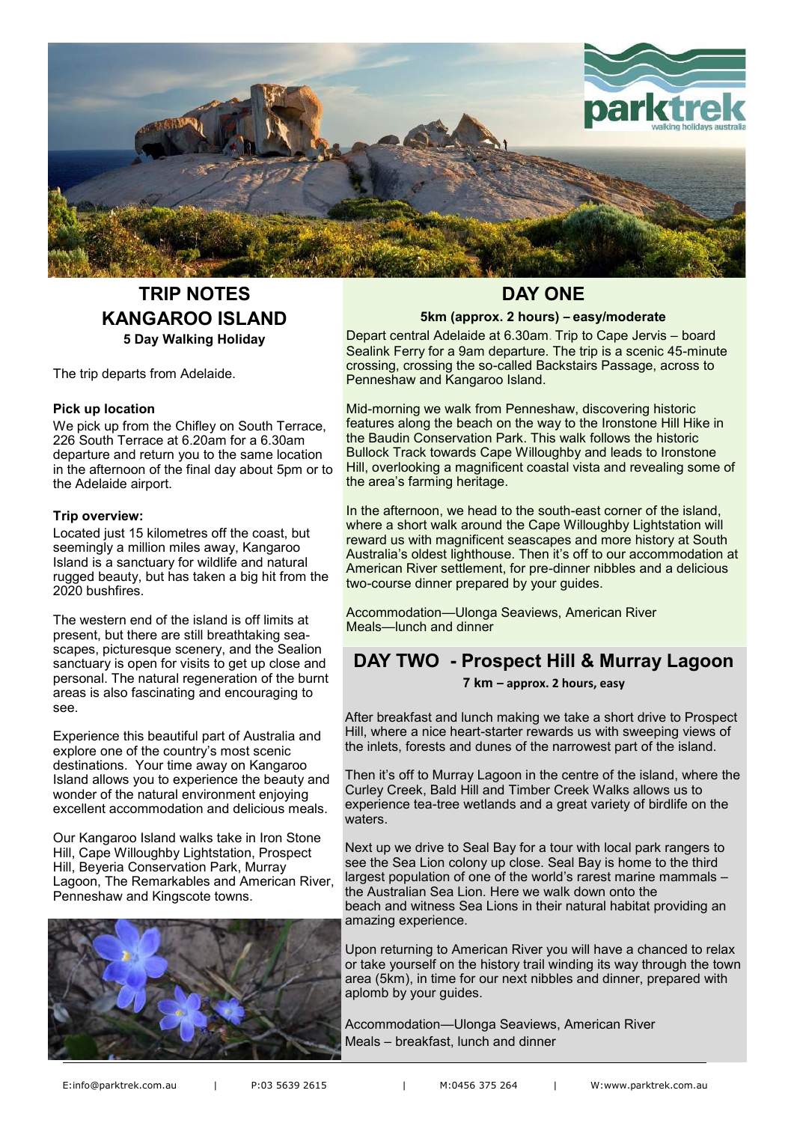

## **TRIP NOTES KANGAROO ISLAND 5 Day Walking Holiday**

The trip departs from Adelaide.

#### **Pick up location**

We pick up from the Chifley on South Terrace, 226 South Terrace at 6.20am for a 6.30am departure and return you to the same location in the afternoon of the final day about 5pm or to the Adelaide airport.

#### **Trip overview:**

Located just 15 kilometres off the coast, but seemingly a million miles away, Kangaroo Island is a sanctuary for wildlife and natural rugged beauty, but has taken a big hit from the 2020 bushfires.

The western end of the island is off limits at present, but there are still breathtaking seascapes, picturesque scenery, and the Sealion sanctuary is open for visits to get up close and personal. The natural regeneration of the burnt areas is also fascinating and encouraging to see.

Experience this beautiful part of Australia and explore one of the country's most scenic destinations. Your time away on Kangaroo Island allows you to experience the beauty and wonder of the natural environment enjoying excellent accommodation and delicious meals.

Our Kangaroo Island walks take in Iron Stone Hill, Cape Willoughby Lightstation, Prospect Hill, Beyeria Conservation Park, Murray Lagoon, The Remarkables and American River, Penneshaw and Kingscote towns.



## **DAY ONE**

#### **5km (approx. 2 hours) – easy/moderate**

Depart central Adelaide at 6.30am. Trip to Cape Jervis – board Sealink Ferry for a 9am departure. The trip is a scenic 45-minute crossing, crossing the so-called Backstairs Passage, across to Penneshaw and Kangaroo Island.

Mid-morning we walk from Penneshaw, discovering historic features along the beach on the way to the Ironstone Hill Hike in the Baudin Conservation Park. This walk follows the historic Bullock Track towards Cape Willoughby and leads to Ironstone Hill, overlooking a magnificent coastal vista and revealing some of the area's farming heritage.

In the afternoon, we head to the south-east corner of the island, where a short walk around the Cape Willoughby Lightstation will reward us with magnificent seascapes and more history at South Australia's oldest lighthouse. Then it's off to our accommodation at American River settlement, for pre-dinner nibbles and a delicious two-course dinner prepared by your guides.

Accommodation—Ulonga Seaviews, American River Meals—lunch and dinner

## **DAY TWO - Prospect Hill & Murray Lagoon**

#### **7 km – approx. 2 hours, easy**

After breakfast and lunch making we take a short drive to Prospect Hill, where a nice heart-starter rewards us with sweeping views of the inlets, forests and dunes of the narrowest part of the island.

Then it's off to Murray Lagoon in the centre of the island, where the Curley Creek, Bald Hill and Timber Creek Walks allows us to experience tea-tree wetlands and a great variety of birdlife on the waters.

Next up we drive to Seal Bay for a tour with local park rangers to see the Sea Lion colony up close. Seal Bay is home to the third largest population of one of the world's rarest marine mammals – the Australian Sea Lion. Here we walk down onto the beach and witness Sea Lions in their natural habitat providing an amazing experience.

Upon returning to American River you will have a chanced to relax or take yourself on the history trail winding its way through the town area (5km), in time for our next nibbles and dinner, prepared with aplomb by your guides.

Accommodation—Ulonga Seaviews, American River Meals – breakfast, lunch and dinner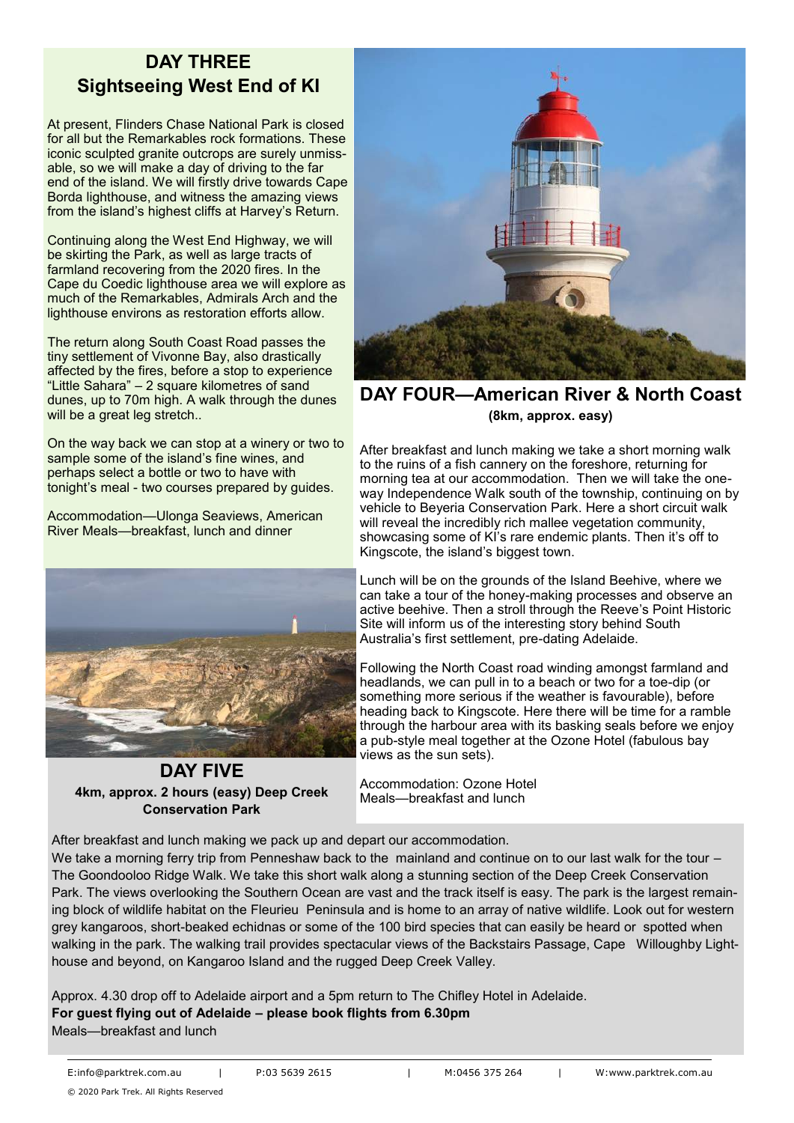# **DAY THREE Sightseeing West End of KI**

At present, Flinders Chase National Park is closed for all but the Remarkables rock formations. These iconic sculpted granite outcrops are surely unmissable, so we will make a day of driving to the far end of the island. We will firstly drive towards Cape Borda lighthouse, and witness the amazing views from the island's highest cliffs at Harvey's Return.

Continuing along the West End Highway, we will be skirting the Park, as well as large tracts of farmland recovering from the 2020 fires. In the Cape du Coedic lighthouse area we will explore as much of the Remarkables, Admirals Arch and the lighthouse environs as restoration efforts allow.

The return along South Coast Road passes the tiny settlement of Vivonne Bay, also drastically affected by the fires, before a stop to experience "Little Sahara" – 2 square kilometres of sand dunes, up to 70m high. A walk through the dunes will be a great leg stretch..

On the way back we can stop at a winery or two to sample some of the island's fine wines, and perhaps select a bottle or two to have with tonight's meal - two courses prepared by guides.

Accommodation—Ulonga Seaviews, American River Meals—breakfast, lunch and dinner



**DAY FIVE 4km, approx. 2 hours (easy) Deep Creek Conservation Park**



**DAY FOUR—American River & North Coast (8km, approx. easy)**

After breakfast and lunch making we take a short morning walk to the ruins of a fish cannery on the foreshore, returning for morning tea at our accommodation. Then we will take the oneway Independence Walk south of the township, continuing on by vehicle to Beyeria Conservation Park. Here a short circuit walk will reveal the incredibly rich mallee vegetation community, showcasing some of KI's rare endemic plants. Then it's off to Kingscote, the island's biggest town.

Lunch will be on the grounds of the Island Beehive, where we can take a tour of the honey-making processes and observe an active beehive. Then a stroll through the Reeve's Point Historic Site will inform us of the interesting story behind South Australia's first settlement, pre-dating Adelaide.

Following the North Coast road winding amongst farmland and headlands, we can pull in to a beach or two for a toe-dip (or something more serious if the weather is favourable), before heading back to Kingscote. Here there will be time for a ramble through the harbour area with its basking seals before we enjoy a pub-style meal together at the Ozone Hotel (fabulous bay views as the sun sets).

Accommodation: Ozone Hotel Meals—breakfast and lunch

After breakfast and lunch making we pack up and depart our accommodation.

We take a morning ferry trip from Penneshaw back to the mainland and continue on to our last walk for the tour – The Goondooloo Ridge Walk. We take this short walk along a stunning section of the Deep Creek Conservation Park. The views overlooking the Southern Ocean are vast and the track itself is easy. The park is the largest remaining block of wildlife habitat on the Fleurieu Peninsula and is home to an array of native wildlife. Look out for western grey kangaroos, short-beaked echidnas or some of the 100 bird species that can easily be heard or spotted when walking in the park. The walking trail provides spectacular views of the Backstairs Passage, Cape Willoughby Lighthouse and beyond, on Kangaroo Island and the rugged Deep Creek Valley.

Approx. 4.30 drop off to Adelaide airport and a 5pm return to The Chifley Hotel in Adelaide. **For guest flying out of Adelaide – please book flights from 6.30pm** Meals—breakfast and lunch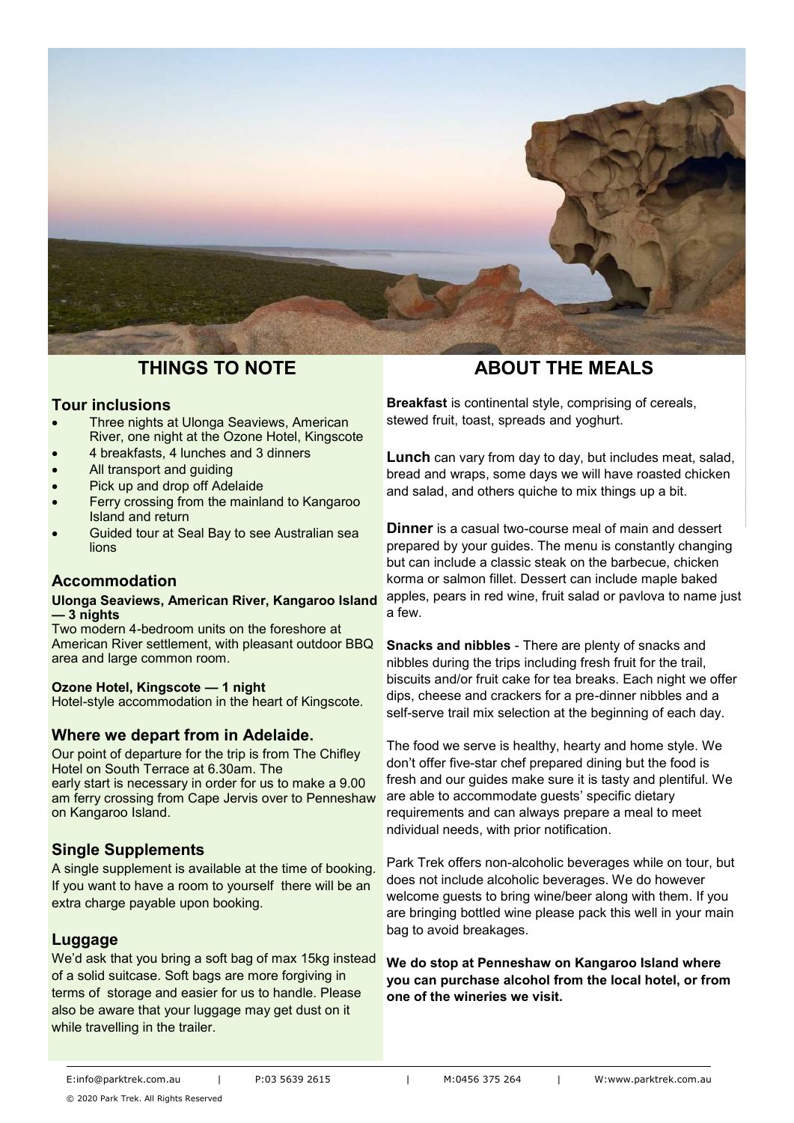

## **THINGS TO NOTE**

#### **Tour inclusions**

- Three nights at Ulonga Seaviews, American River, one night at the Ozone Hotel, Kingscote
- 4 breakfasts, 4 lunches and 3 dinners
- All transport and guiding
- Pick up and drop off Adelaide
- Ferry crossing from the mainland to Kangaroo Island and return
- Guided tour at Seal Bay to see Australian sea lions

### **Accommodation**

#### **Ulonga Seaviews, American River, Kangaroo Island — 3 nights**

Two modern 4-bedroom units on the foreshore at American River settlement, with pleasant outdoor BBQ area and large common room.

#### **Ozone Hotel, Kingscote — 1 night**

Hotel-style accommodation in the heart of Kingscote.

### **Where we depart from in Adelaide.**

Our point of departure for the trip is from The Chifley Hotel on South Terrace at 6.30am. The early start is necessary in order for us to make a 9.00 am ferry crossing from Cape Jervis over to Penneshaw on Kangaroo Island.

### **Single Supplements**

A single supplement is available at the time of booking. If you want to have a room to yourself there will be an extra charge payable upon booking.

### **Luggage**

We'd ask that you bring a soft bag of max 15kg instead of a solid suitcase. Soft bags are more forgiving in terms of storage and easier for us to handle. Please also be aware that your luggage may get dust on it while travelling in the trailer.

## **ABOUT THE MEALS**

**Breakfast** is continental style, comprising of cereals, stewed fruit, toast, spreads and yoghurt.

**Lunch** can vary from day to day, but includes meat, salad, bread and wraps, some days we will have roasted chicken and salad, and others quiche to mix things up a bit.

**Dinner** is a casual two-course meal of main and dessert prepared by your guides. The menu is constantly changing but can include a classic steak on the barbecue, chicken korma or salmon fillet. Dessert can include maple baked apples, pears in red wine, fruit salad or pavlova to name just a few.

**Snacks and nibbles** - There are plenty of snacks and nibbles during the trips including fresh fruit for the trail, biscuits and/or fruit cake for tea breaks. Each night we offer dips, cheese and crackers for a pre-dinner nibbles and a self-serve trail mix selection at the beginning of each day.

The food we serve is healthy, hearty and home style. We don't offer five-star chef prepared dining but the food is fresh and our guides make sure it is tasty and plentiful. We are able to accommodate guests' specific dietary requirements and can always prepare a meal to meet ndividual needs, with prior notification.

Park Trek offers non-alcoholic beverages while on tour, but does not include alcoholic beverages. We do however welcome guests to bring wine/beer along with them. If you are bringing bottled wine please pack this well in your main bag to avoid breakages.

**We do stop at Penneshaw on Kangaroo Island where you can purchase alcohol from the local hotel, or from one of the wineries we visit.**